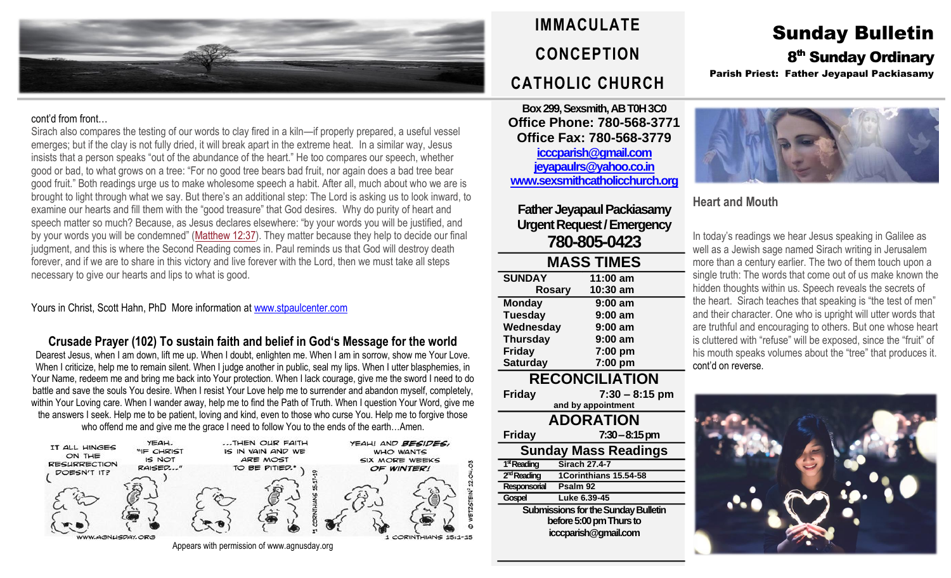

#### cont'd from front…

Sirach also compares the testing of our words to clay fired in a kiln—if properly prepared, a useful vessel emerges; but if the clay is not fully dried, it will break apart in the extreme heat. In a similar way, Jesus insists that a person speaks "out of the abundance of the heart." He too compares our speech, whether good or bad, to what grows on a tree: "For no good tree bears bad fruit, nor again does a bad tree bear good fruit." Both readings urge us to make wholesome speech a habit. After all, much about who we are is brought to light through what we say. But there's an additional step: The Lord is asking us to look inward, to examine our hearts and fill them with the "good treasure" that God desires. Why do purity of heart and speech matter so much? Because, as Jesus declares elsewhere: "by your words you will be justified, and by your words you will be condemned" ([Matthew](https://biblia.com/bible/rsvce/Matt%2012.37) 12:37). They matter because they help to decide our final judgment, and this is where the Second Reading comes in. Paul reminds us that God will destroy death forever, and if we are to share in this victory and live forever with the Lord, then we must take all steps necessary to give our hearts and lips to what is good.

#### Yours in Christ, Scott Hahn, PhD More information at [www.stpaulcenter.com](http://www.stpaulcenter.com/)

**Crusade Prayer (102) To sustain faith and belief in God's Message for the world** Dearest Jesus, when I am down, lift me up. When I doubt, enlighten me. When I am in sorrow, show me Your Love. When I criticize, help me to remain silent. When I judge another in public, seal my lips. When I utter blasphemies, in Your Name, redeem me and bring me back into Your protection. When I lack courage, give me the sword I need to do battle and save the souls You desire. When I resist Your Love help me to surrender and abandon myself, completely, within Your Loving care. When I wander away, help me to find the Path of Truth. When I question Your Word, give me the answers I seek. Help me to be patient, loving and kind, even to those who curse You. Help me to forgive those who offend me and give me the grace I need to follow You to the ends of the earth…Amen.



Appears with permission of www.agnusday.org

# **IMMACULATE CONCEPTION CATHOLIC CHURCH**

**Box 299, Sexsmith, AB T0H 3C0 Office Phone: 780-568-3771 Office Fax: 780-568-3779 [icccparish@gmail.com](mailto:icccparish@gmail.com) [jeyapaulrs@yahoo.co.in](mailto:jeyapaulrs@yahoo.co.in) [www.sexsmithcatholicchurch.org](http://www.sexsmithcatholicchurch.org/)**

**Father Jeyapaul Packiasamy Urgent Request/Emergency 780-805-0423**

| <b>MASS TIMES</b>     |           |  |  |
|-----------------------|-----------|--|--|
| <b>SUNDAY</b>         | 11:00 am  |  |  |
| <b>Rosary</b>         | 10:30 am  |  |  |
| <b>Monday</b>         | $9:00$ am |  |  |
| <b>Tuesday</b>        | $9:00$ am |  |  |
| Wednesday             | $9:00$ am |  |  |
| <b>Thursday</b>       | $9:00$ am |  |  |
| <b>Friday</b>         | 7:00 pm   |  |  |
| <b>Saturday</b>       | 7:00 pm   |  |  |
| <b>RECONCILIATION</b> |           |  |  |

**Friday 7:30 – 8:15 pm and by appointment ADORATION Friday 7:30–8:15 pm Sunday Mass Readings** 1<sup>st</sup> Reading **Sirach 27.4-7** 2<sup>nd</sup> Reading **ndReading 1Corinthians 15.54-58 Responsorial Psalm 92 Gospel Luke 6.39-45 Submissions for the Sunday Bulletin before 5:00 pm Thursto icccparish@gmail.com**

## Sunday Bulletin 8<sup>th</sup> Sunday Ordinary Parish Priest: Father Jeyapaul Packiasamy



### **Heart and Mouth**

In today's readings we hear Jesus speaking in Galilee as well as a Jewish sage named Sirach writing in Jerusalem more than a century earlier. The two of them touch upon a single truth: The words that come out of us make known the hidden thoughts within us. Speech reveals the secrets of the heart. Sirach teaches that speaking is "the test of men" and their character. One who is upright will utter words that are truthful and encouraging to others. But one whose heart is cluttered with "refuse" will be exposed, since the "fruit" of his mouth speaks volumes about the "tree" that produces it. cont'd on reverse.